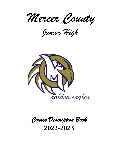*Mercer County*

*Junior High*



# *Course Description Book*  **2022-2023**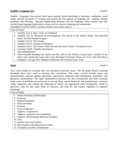### **English / Language Arts** Grade 6

English / Language Arts courses build upon students' prior knowledge of grammar, vocabulary, word usage, and the mechanics of writing, and include the four aspects of language use: reading, writing, speaking, and listening. Beyond emphasizing different uses for language, these courses may also include using language (particularly written test) to construct meaning and connections.

(*AmplifyELA* will be used as a primary district curriculum source.)

|  | Units of Study:                                                                                |
|--|------------------------------------------------------------------------------------------------|
|  | 1. Amplify Unit A: Boy: Tales of Childhood                                                     |
|  | 2. Amplify Unit B: Mysteries & Investigations: The Secret of the Yellow Death, The Speckled    |
|  | Band, The Red-Headed League                                                                    |
|  | 3. Amplify Unit D: The Greeks                                                                  |
|  | 4. Amplify Unit E: Summer of Mariposa                                                          |
|  | 5. Amplify Unit F: The Titanic Collection and the novel: Titanic: Young Survivors              |
|  | 6. Grammar: Quill, Amplify and projects                                                        |
|  | 7. AR reading/projects                                                                         |
|  | 8. Other Possible Reading List: Harris and Me, Julie of the Wolves, Long Claws, Tuesday of the |

Other June, Zlateh the Goat, Lob's Girl, President Cleveland: Where are You?, The Dust Bowl, Southpaw, Chicago Fire, Phantom Tollbooth, and Fractured Fairy Tales

**Math** Grade 6

This course builds on concepts that were learned in previous years. The 6th grade Illinois Learning Standards have been used to develop this curriculum. The units covered include ratios and proportionality, rational number operations, expressions, equations, data distribution, probability, and geometry measurement. The eight mathematical practices are also incorporated into daily learning; make sense of problems and persevere in solving them, reason abstractly and quantitatively, construct viable arguments and critique the reasoning of others, use appropriate tools strategically, attend to precision, look for and make sense of structure, and look for and express regularity in repeated reasoning.

- 1. Whole Numbers and Decimals
- 2. Fractions
- 3. Rational Numbers
- 4. Ratio and Rates
- 5. Percents
- 6. Units of Measure
- 7. Algebra: Expressions
- 8. Algebra: Equations and Inequalities
- 9. Algebra: Relationships Between Variables
- 10. Area
- 11. Surface Area and Volume
- 12. Data Displays and Measures of Center
- 13. Variability and Data Distributions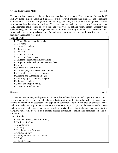### **6<sup>th</sup> Grade Advanced Math** Grade 6

This course is designed to challenge those students that excel in math. The curriculum follows the  $6<sup>th</sup>$ and 7<sup>th</sup> grade Illinois Learning Standards. Units covered include real numbers and exponents, expressions and equations, congruence and similarity, functions, linear systems, Pythagorean Theorem, patterns, and bivariate data, and volume. The eight mathematical practices are also incorporated into daily learning; make sense of problems and persevere in solving them, reason abstractly and quantitatively, construct viable arguments and critique the reasoning of others, use appropriate tools strategically, attend to precision, look for and make sense of structure, and look for and express regularity in repeated reasoning.

| Units of Study:                                        |
|--------------------------------------------------------|
| <b>Whole Numbers and Decimals</b>                      |
| Fractions<br>2.                                        |
| <b>Rational Numbers</b><br>$\mathcal{F}_{\mathcal{L}}$ |
| <b>Ratio and Rates</b><br>4.                           |
| 5. Percents                                            |
| 6. Units of Measure                                    |
| Algebra: Expressions<br>7.                             |
| 8. Algebra: Equations and Inequalities                 |
| 9. Algebra: Relationships Between Variables            |
| $10.$ Area                                             |
| 11. Surface Area and Volume                            |
| 12. Data Displays and Measures of Center               |
| 13. Variability and Data Distributions                 |
| 14. Adding and Subtracting integers                    |
| 15. Multiplying and Dividing Integers                  |
| 16. Rational Numbers                                   |
| 17. Rates and Proportionality                          |
| 18. Proportions and Percents                           |

### **Science** Grade 6

This course uses an integrated approach to science that includes life, earth and physical science. Topics in the area of life science include photosynthesis/respiration, feeding relationships in ecosystems, cycling of matter in an ecosystem and population dynamics. Topics in the area of physical science include introduction to particles of matter and thermal energy. Topics in the area of earth science include weather and climate. All areas include a variety of activities including hands-on activities. (*AmplifyScience* will be used as a primary district curriculum; supplemental resources will also be utilized.)

- 1. Nature of Science (short mini-unit)
- 2. Particles of Matter
- 3. Microbiomes
- 4. Ecology
- 5. Populations and Resources
- 6. Thermal Energy
- 7. Ocean, Atmosphere, and Climate
- 8. Weather
- 9. Climate Change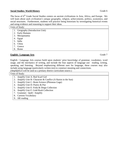### **Social Studies: World History** Grade 6

The focus of 6<sup>th</sup> Grade Social Studies centers on ancient civilizations in Asia, Africa, and Europe. We will learn about each civilization's unique geography, religion, achievements, politics, economics, and social structures. Furthermore, students will practice being historians by investigating historical events and using evidence and reasoning to support their ideas.

| Units of Study: |                                  |  |  |
|-----------------|----------------------------------|--|--|
|                 | 1. Geography (Introduction Unit) |  |  |
|                 | 2. Early Humans                  |  |  |
| 3.              | Mesopotamia                      |  |  |
|                 | 4. Egypt                         |  |  |
|                 | 5. India                         |  |  |
|                 | 6. China                         |  |  |
|                 | 7. Greece                        |  |  |
|                 | Rome                             |  |  |

### **English / Language Arts** Grade 7

English / Language Arts courses build upon students' prior knowledge of grammar, vocabulary, word usage, and the mechanics of writing, and include the four aspects of language use: reading, writing, speaking, and listening. Beyond emphasizing different uses for language, these courses may also include using language (particularly written test) to construct meaning and connections.

(*AmplifyELA* will be used as a primary district curriculum source.)

- 1. Amplify Unit A: Red Scarf Girl
- 2. Amplify Unit B: Character & Conflict (A Raisin in the Sun)
- 3. Amplify Unit C: Brain Science (Phinneas Gage)
- 4. Amplify Unit D: Poetry & Poe
- 5. Amplify Unit E: Frida & Diego Collection
- 6. Amplify Unit F: Gold Rush Collection
- 7. Grammer: Quill / Amplify
- 8. Cartoon Vocabulary
- 9. AR reading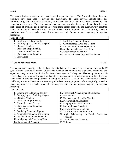This course builds on concepts that were learned in previous years. The 7th grade Illinois Learning Standards have been used to develop this curriculum. The units covered include ratios and proportionality, rational number operations, expressions, equations, data distribution, probability, and geometry measurement. The eight mathematical practices are also incorporated into daily learning; make sense of problems and persevere in solving them, reason abstractly and quantitatively, construct viable arguments and critique the reasoning of others, use appropriate tools strategically, attend to precision, look for and make sense of structure, and look for and express regularity in repeated reasoning.

| Units of Study:                      |                                                |  |  |  |
|--------------------------------------|------------------------------------------------|--|--|--|
| Adding and Subtracting Integers      | Modeling Geometric Figures                     |  |  |  |
| 2. Multiplying and Dividing Integers | $\parallel$ 9. Circumference, Area, and Volume |  |  |  |
| 3. Rational Numbers                  | 10. Random Samples and Populations             |  |  |  |
| 4. Rates and Proportionality         | 11. Analyzing and Comparing Data               |  |  |  |
| 5. Proportions and Percents          | $\parallel$ 12. Experimental Probability       |  |  |  |
| 6. Expressions and Equations         | 13. Theoretical Probability and Simulations    |  |  |  |
| Inequalities                         |                                                |  |  |  |

# **7<sup>th</sup> Grade Advanced Math** Grade 7

This course is designed to challenge those students that excel in math. The curriculum follows the  $8<sup>th</sup>$ grade Illinois Learning Standards. Units covered include real numbers and exponents, expressions and equations, congruence and similarity, functions, linear systems, Pythagorean Theorem, patterns, and bivariate data, and volume. The eight mathematical practices are also incorporated into daily learning; make sense of problems and persevere in solving them, reason abstractly and quantitatively, construct viable arguments and critique the reasoning of others, use appropriate tools strategically, attend to precision, look for and make sense of structure, and look for and express regularity in repeated reasoning.

| Units of Study:                      |  |                                               |  |  |
|--------------------------------------|--|-----------------------------------------------|--|--|
| 1. Adding and Subtracting Integers   |  | 13. Theoretical Probability and Simulations   |  |  |
| 2. Multiplying and Dividing Integers |  | 14. Real Numbers                              |  |  |
| 3. Rational Numbers                  |  | 15. Exponents and Scientific Notation         |  |  |
| 4. Rates and Proportionality         |  | 16. Proportional Relationships                |  |  |
| 5. Proportions and Percents          |  | 17. Nonproportional Relationships             |  |  |
| 6. Expressions and Equations         |  | 18. Solving Linear Equations                  |  |  |
| Inequalities<br>7.                   |  | 19. Transformational Geometry                 |  |  |
| 8. Modeling Geometric Figures        |  | 20. Transformations and Similarity            |  |  |
| 9. Circumference, Area, and Volume   |  | 21. Angle Relationships in Parallel Lines and |  |  |
| 10. Random Samples and Populations   |  | Triangles                                     |  |  |
| 11. Analyzing and Comparing Data     |  | 22. The Pythagorean Theorem                   |  |  |
| 12. Experimental Probability         |  | 23. Volume                                    |  |  |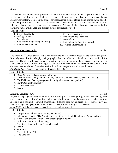This course uses an integrated approach to science that includes life, earth and physical science. Topics in the area of life science include cells and cell processes, heredity, dissection and human anatomy/physiology. Topics in the area of physical science include atoms, states of matter, the periodic table, and physical and chemical properties/changes. Topics in the area of earth science include rocks, minerals, plate tectonics, earthquakes and volcanoes. All areas include labs and hands-on activities. (*AmplifyScience* will be used as a primary district curriculum source.)

| Units of Study:                        |                                                  |  |  |
|----------------------------------------|--------------------------------------------------|--|--|
| 1. Science Lab Skills                  | 16. Chemical Reactions                           |  |  |
| 2. Geology on Mars                     | $\parallel$ 7. Populations and Resources         |  |  |
| 3. Plate Motion                        | 8. Metabolism                                    |  |  |
| 4. Plate Motion Engineering Internship | $\parallel$ 9. Metabolism Engineering Internship |  |  |
| 5. Rock Transformations                | 10. Traits and Reproduction                      |  |  |

### **Social Studies: Geography** Grade 7

The focus of 7<sup>th</sup> Grade Social Studies mainly centers on the different facets of the Earth's geography. Not only does this include physical geography, but also climate, cultural, economic, and political aspects. The class will pay particular attention to these in terms of their existence in the western hemisphere, with the fifty states being a special area of concentration. The eastern hemisphere will be discussed as time allows. Extensive work will be done in regards to working with maps.

(*World Studies – Western Hemisphere* – Prentice Hall – 2005)

Units of Study:

- 1. Basic Geography Terminology and Maps
- 2. Earth's Physical Geography (the planet, land forms, climate/weather, vegetation zones)
- 3. Earth's Human Geography (population, migration, economics, politics)
- 4. Earth's Cultural Geography
- 5. Natural Resources
- 6. States

# **English / Language Arts** Grade 8

English / Language Arts courses build upon students' prior knowledge of grammar, vocabulary, word usage, and the mechanics of writing, and include the four aspects of language use: reading, writing, speaking, and listening. Beyond emphasizing different uses for language, these courses may also include using language (particularly written test) to construct meaning and connections. (*AmplifyELA* will be used as a primary district curriculum source.)

- 1. Perspectives and Narrative (writing a narrative)
- 2. Liberty and Equality (The Narrative of t he Life of Frederick Douglass, an American Slave)
- 3. Science and Science Fiction (Frankenstein graphic novel)
- 4. Holocaust: Memory and Meaning
- 5. The Space Race Collection (research essay)
- 6. Poetry
- 7. Grammar
- 8. The Call of t he Wild
- 9. The Outsiders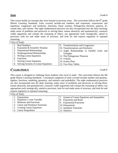This course builds on concepts that were learned in previous years. The curriculum follows the  $8<sup>th</sup>$  grade Illinois Learning Standards. Units covered include real numbers and exponents, expressions and equations, congruence and similarity, functions, linear systems, Pythagorean theorem, patterns, bivariate data, and volume. The eight mathematical practices are also incorporated into the daily learning; make sense of problems and persevere in solving them, reason abstractly and quantitatively, construct viable arguments and critique the reasoning of others, use appropriate tools strategically, attend to precision, look for and make sense of structure, and look for and express regularity in repeated reasoning.

| Units of Study:                        |                                               |  |  |
|----------------------------------------|-----------------------------------------------|--|--|
| 1. Real Numbers                        | 9. Transformations and Congruence             |  |  |
| 2. Exponents & Scientific Notation     | 10. Transformations and Similarity            |  |  |
| 3. Proportional Relationships          | 11. Angle Relationships in Parallel Lines and |  |  |
| 4. Nonproportional Relationships       | Triangles                                     |  |  |
| 5. Writing Linear Equations            | 12. The Pythagorean Theorem                   |  |  |
| 6. Functions                           | 13. Volume                                    |  |  |
| <b>Solving Linear Equations</b>        | 14. Scatter Plots                             |  |  |
| 8. Solving Systems of Linear Equations | 15. Two-Way Tables                            |  |  |

## **8 th Grade (Math I)** Grade 8

This course is designed to challenge those students who excel in math. The curriculum follows the 9th grade Illinois Learning Standards. Conceptual categories of units covered include number and quantity, algebra, functions, modeling, geometry, and statistics and probability. The eight mathematical practices are also incorporated into the daily learning: make sense of problems and persevere in solving them, reason abstractly and quantitatively, construct viable arguments and critique the reasoning of others, use appropriate tools strategically, attend to precision, look for and make sense of structure, and look for and express regularity in repeated reasoning.

| Units of Study:                                                                                                 |                                                                                                                      |  |  |
|-----------------------------------------------------------------------------------------------------------------|----------------------------------------------------------------------------------------------------------------------|--|--|
| Expressions<br>2. Equations i n one Variable<br>3. Relations and Functions<br>4. Linear and Nonlinear Functions | System of Linear Equations and Inequalities<br>8. Exponents and Roots<br>9. Exponential Functions<br>10. Polynomials |  |  |
| 5. Creating Linear Equations                                                                                    | 11. Quadratic Functions                                                                                              |  |  |
| 6. Linear Inequalities                                                                                          | 12. Statistics                                                                                                       |  |  |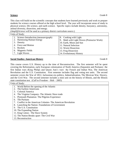This class will build on the scientific concepts that students have learned previously and work to prepare students for science courses offered at the high school level. The year will incorporate areas of study in physical science, life science, and earth science. Specific topics include density, buoyancy, astronomy, animal diversity, dissection, and energy.

(*AmplifyScience* will be used as a primary district curriculum source.)

| Units of Study:                      |                                                                                                                       |  |  |
|--------------------------------------|-----------------------------------------------------------------------------------------------------------------------|--|--|
| Science Introduction (measure/graph) | 8. Cooking with Light                                                                                                 |  |  |
|                                      | $\parallel$ 9. Math with Light Waves (Protractor Work)                                                                |  |  |
|                                      | 10. Earth, Moon and Sun                                                                                               |  |  |
|                                      | 11. Natural Selection                                                                                                 |  |  |
|                                      | 12. Worm Dissection                                                                                                   |  |  |
|                                      | 13. Frog Dissection                                                                                                   |  |  |
|                                      | 14. Evolutionary History                                                                                              |  |  |
|                                      | 2. Harnessing Human Energy<br>3. Density<br>4. Force and Motion<br>5. Rockets<br>6. Magnetic Fields<br>7. Light Waves |  |  |

### **Social Studies: American History** Grade 8

This course covers U.S. History up to the time of Reconstruction. The first semester will be spent covering the Reformation, early European colonization of North America (Separatist and Puritans) the first Indian wars (King Philips and Queen Ann's war) the French and Indian War, The American Revolution and the U.S. Constitution. First semester includes flag and voting test units. The second semester covers the War of 1812, Jacksonian era politics, Industrialization, The Mexican War, Slavery, and the Civil War. The second semester includes a mini unit on the history of Illinois, and the Illinois state constitution test. (*Call to Freedom* – Holt – 2005)

- 1. World Before the opening of the Atlantic
- 2. The Earliest Americans
- 3. Colonial America
- 4. The Virginia Company- The Atlantic Slave trade
- 5. Plymouth Plantation- The Pilgrims Experience
- 6. The Puritans
- 7. Conflict in the American Colonies- The American Revolution
- 8. Launching the Nation- Foundations of Government
- 9. The U.S. Constitution
- 10. The Expanding Nation
- 11. King Cotton The Slave System
- 12. The Nation Breaks apart- The Civil War
- 13. Reconstruction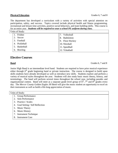### **Physical Education** Grades 6, 7 and 8

The department has developed a curriculum with a variety of activities with special attention on participation, safety, and success. Topics covered include physical health and fitness programming, recreational and leisure time activities, positive social behaviors, and team building skills. This course is for an entire year. *Students will be required to wear a school PE uniform during class.*

| Units of Study: |                             |  |  |
|-----------------|-----------------------------|--|--|
| Frisbee         | Volleyball                  |  |  |
| Soccer<br>2.    | Badminton                   |  |  |
| 3. Football     | $\parallel$ 9. Floor Hockey |  |  |
| 4. Pickleball   | 10. Nitroball               |  |  |
| 5. Basketball   | $\parallel$ 11. Speedball   |  |  |
| 6. Bowling      | 12. Tchukball               |  |  |

# **Elective Courses**

### **Band** Grades 6, 7 and 8

Junior High Band is an intermediate level band. Students are required to have prior musical experience either through 6<sup>th</sup> grade beginning band or private instruction. The course is designed to build upon skills students have already developed as well as introduce new skills. Students explore and perform a variety of musical styles throughout the year. Students will also study basic music theory, history, and terminology. The band will perform several times throughout the school year, including parades and organizational contest. Band will meet as a separate grade level group of  $6<sup>th</sup>$ ,  $7<sup>th</sup>$  and  $8<sup>th</sup>$  grades every day. The *Mercer County Golden Eagles JH Band* will give the music student an opportunity to excel on their instrument as well as build a life-long appreciation of music.

|  |  | Units of Study: |
|--|--|-----------------|
|--|--|-----------------|

- 1. Group Performance
- 2. Solo Performance
- 3. Practice / Scales
- 4. Goal Setting / Self Reflection
- 5. Music Theory
- 6. Music History
- 7. Instrument Technique
- 8. Instrument Care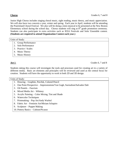Junior High Chorus includes singing choral music, sight reading, music theory, and music appreciation. We will also have two concerts a year, winter and spring. Each year in April, students will be attending the Prairieland Choral Festival. We also will be doing a mini-musical to be presented at the New Boston Elementary school during the school day. Chorus students will sing at  $8<sup>th</sup>$  grade promotion ceremony. Students can also participate in extra activities such as IESA Festivals and Solo/ Ensemble contest. **(Students are required to attend Organization Contest each year.)**

Units of Study:

- 1. Group Performance
- 2. Solo Performance
- 3. Practice / Scales
- 4. Music Theory
- 5. Music History

**Art 1 Grades 6, 7 and 8** 

Students taking this course will investigate the tools and processes used for creating art in a variety of different media. Basic art elements and principles will be reviewed and used as the central focus for creation. Students will have the opportunity to work in both 2D and 3D design.

|    | 1. Drawing – Graphite, Pen/Ink, Colored Pencil                           |
|----|--------------------------------------------------------------------------|
|    | One Point Perspective – Impressionism/Van Gogh, Surrealism/Salvador Dali |
|    | Oil Pastels – Fauvism                                                    |
|    | 4. Mixed Media Art – Whimsy                                              |
|    | 5. Acrylic Painting – Color Mixing, Tint and Shade                       |
| 6. | <b>Watercolor Techniques</b>                                             |
|    | Printmaking – Pop Art/Andy Warhol                                        |
| 8. | Fabric Art – Feminist Art/Miriam Schapiro                                |

- 9. Sculpture Puppet Making
- 10. Pottery Basics Cubism/Picasso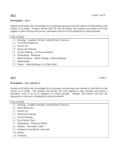### **Prerequisite – Art 1**

Students will further their knowledge of art techniques and processes and continue to build skill in wide variety of art media. Projects include both 2D and 3D design. The students and teacher will work together to plan, develop and execute a permanent work of art to be displayed on school grounds.

| Units of Study: |  |
|-----------------|--|
|                 |  |

- 1. Drawing Graphite, Pen/Ink, Colored Pencil, Charcoal
- 2. Two Point Perspective
- 3. Scratch Art
- 4. Watercolor Painting
- 5. Acrylic Painting Art Nouveau/Klimt
- 6. Printmaking Monotype
- 7. Relief Sculpture Metal Tooling, Cardboard Design
- 8. Maskmaking
- 9. Pottery Hand Building: Coil, Slab, Mold

**Art 3** Grade 8

### **Prerequisite – Art 1 and Art 2**

Students will further their knowledge of art techniques and processes and continue to build skill in wide variety of art media. The students and teacher will work together to plan, develop and execute a permanent work of art to be displayed on school grounds. Students and teacher will have the opportunity to take part in designing the school yearbook.

- 1. Drawing Graphite, Pen/Ink, Colored Pencil, Charcoal
- 2. Mixed Media Art
- 3. Scratch Art
- 4. Watercolor Painting
- 5. Acrylic Painting
- 6. Faux Stained Glass
- 7. Printmaking Multicolor Relief
- 8. Mobiles Alexander Calder
- 9. Sculpture in the Round Recycled
- 10. Pottery
- 11. Yearbook